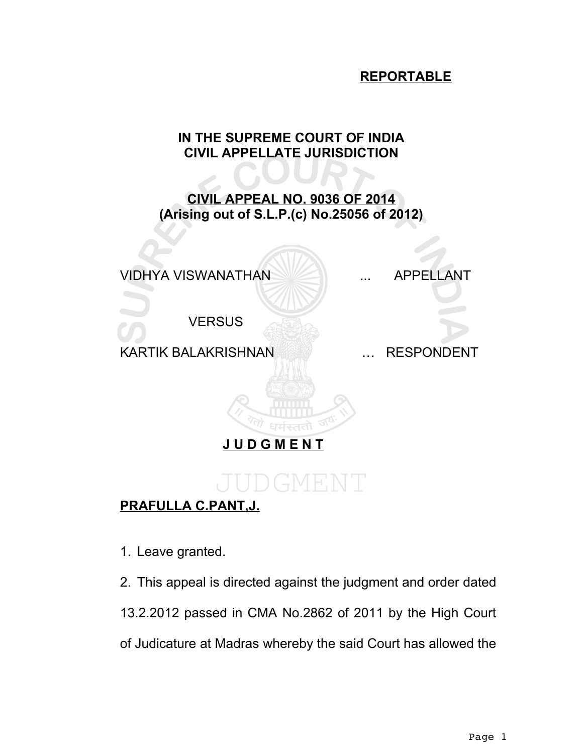### **REPORTABLE**

## **IN THE SUPREME COURT OF INDIA CIVIL APPELLATE JURISDICTION**

## **CIVIL APPEAL NO. 9036 OF 2014 (Arising out of S.L.P.(c) No.25056 of 2012)**



## **PRAFULLA C.PANT,J.**

- 1. Leave granted.
- 2. This appeal is directed against the judgment and order dated 13.2.2012 passed in CMA No.2862 of 2011 by the High Court of Judicature at Madras whereby the said Court has allowed the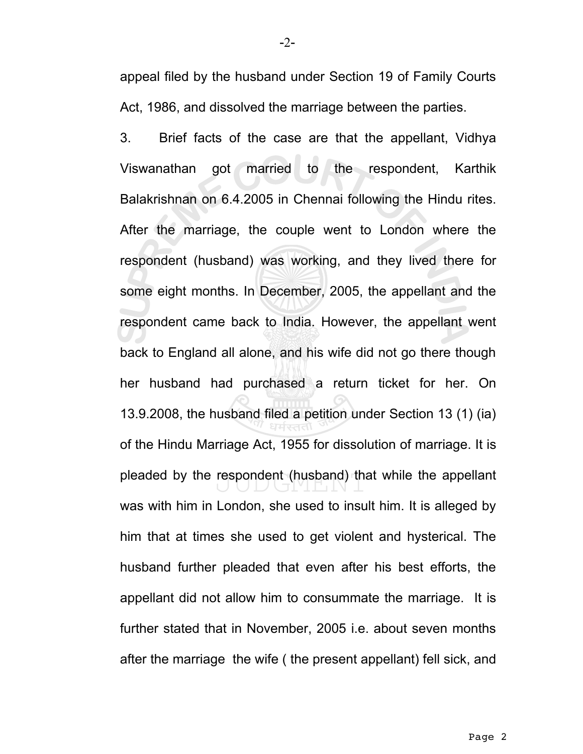appeal filed by the husband under Section 19 of Family Courts Act, 1986, and dissolved the marriage between the parties.

3. Brief facts of the case are that the appellant, Vidhya Viswanathan got married to the respondent, Karthik Balakrishnan on 6.4.2005 in Chennai following the Hindu rites. After the marriage, the couple went to London where the respondent (husband) was working, and they lived there for some eight months. In December, 2005, the appellant and the respondent came back to India. However, the appellant went back to England all alone, and his wife did not go there though her husband had purchased a return ticket for her. On 13.9.2008, the husband filed a petition under Section 13 (1) (ia) of the Hindu Marriage Act, 1955 for dissolution of marriage. It is pleaded by the respondent (husband) that while the appellant was with him in London, she used to insult him. It is alleged by him that at times she used to get violent and hysterical. The husband further pleaded that even after his best efforts, the appellant did not allow him to consummate the marriage. It is further stated that in November, 2005 i.e. about seven months after the marriage the wife ( the present appellant) fell sick, and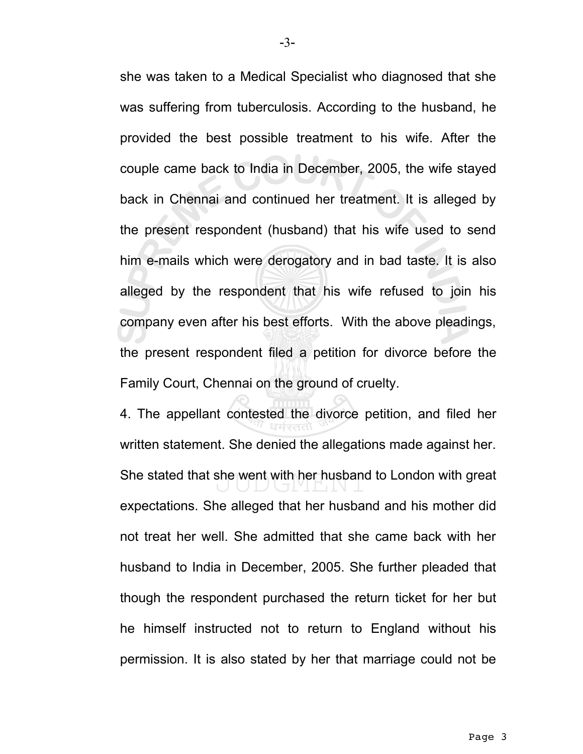she was taken to a Medical Specialist who diagnosed that she was suffering from tuberculosis. According to the husband, he provided the best possible treatment to his wife. After the couple came back to India in December, 2005, the wife stayed back in Chennai and continued her treatment. It is alleged by the present respondent (husband) that his wife used to send him e-mails which were derogatory and in bad taste. It is also alleged by the respondent that his wife refused to join his company even after his best efforts. With the above pleadings, the present respondent filed a petition for divorce before the Family Court, Chennai on the ground of cruelty.

4. The appellant contested the divorce petition, and filed her written statement. She denied the allegations made against her. She stated that she went with her husband to London with great expectations. She alleged that her husband and his mother did not treat her well. She admitted that she came back with her husband to India in December, 2005. She further pleaded that though the respondent purchased the return ticket for her but he himself instructed not to return to England without his permission. It is also stated by her that marriage could not be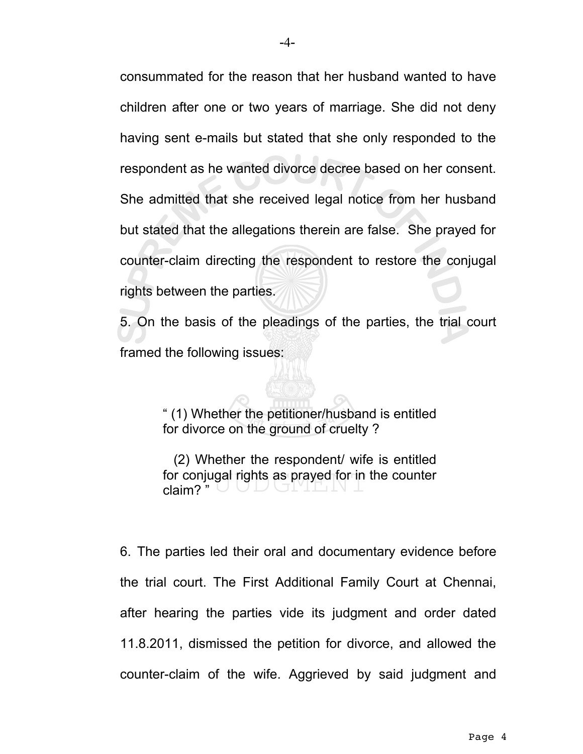consummated for the reason that her husband wanted to have children after one or two years of marriage. She did not deny having sent e-mails but stated that she only responded to the respondent as he wanted divorce decree based on her consent. She admitted that she received legal notice from her husband but stated that the allegations therein are false. She prayed for counter-claim directing the respondent to restore the conjugal rights between the parties.

5. On the basis of the pleadings of the parties, the trial court framed the following issues:

> " (1) Whether the petitioner/husband is entitled for divorce on the ground of cruelty ?

> (2) Whether the respondent/ wife is entitled for conjugal rights as prayed for in the counter claim? "

6. The parties led their oral and documentary evidence before the trial court. The First Additional Family Court at Chennai, after hearing the parties vide its judgment and order dated 11.8.2011, dismissed the petition for divorce, and allowed the counter-claim of the wife. Aggrieved by said judgment and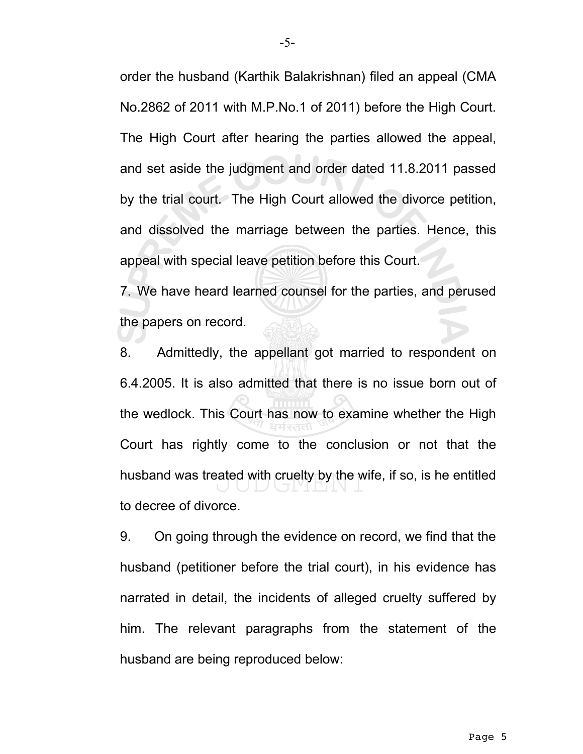order the husband (Karthik Balakrishnan) filed an appeal (CMA No.2862 of 2011 with M.P.No.1 of 2011) before the High Court. The High Court after hearing the parties allowed the appeal, and set aside the judgment and order dated 11.8.2011 passed by the trial court. The High Court allowed the divorce petition, and dissolved the marriage between the parties. Hence, this appeal with special leave petition before this Court. 7. We have heard learned counsel for the parties, and perused

the papers on record.

8. Admittedly, the appellant got married to respondent on 6.4.2005. It is also admitted that there is no issue born out of the wedlock. This Court has now to examine whether the High Court has rightly come to the conclusion or not that the husband was treated with cruelty by the wife, if so, is he entitled to decree of divorce.

9. On going through the evidence on record, we find that the husband (petitioner before the trial court), in his evidence has narrated in detail, the incidents of alleged cruelty suffered by him. The relevant paragraphs from the statement of the husband are being reproduced below: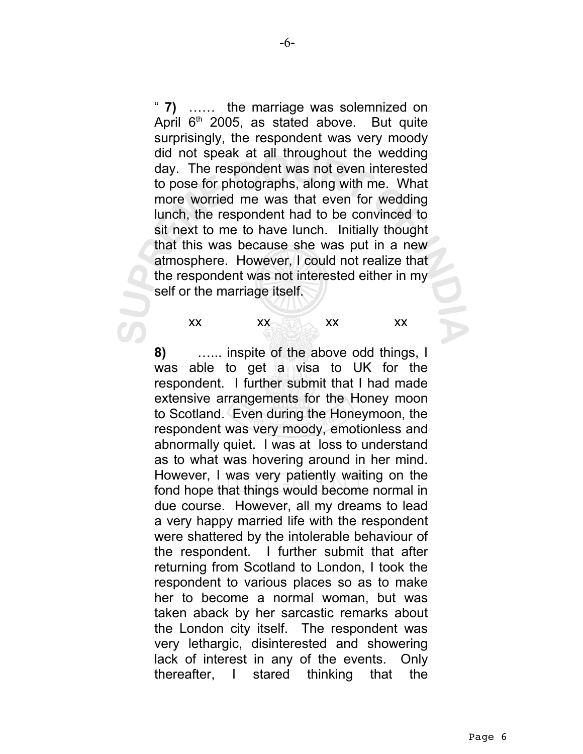" **7)** …… the marriage was solemnized on April  $6<sup>th</sup>$  2005, as stated above. But quite surprisingly, the respondent was very moody did not speak at all throughout the wedding day. The respondent was not even interested to pose for photographs, along with me. What more worried me was that even for wedding lunch, the respondent had to be convinced to sit next to me to have lunch. Initially thought that this was because she was put in a new atmosphere. However, I could not realize that the respondent was not interested either in my self or the marriage itself.

xx xx xx xx

**8)** …... inspite of the above odd things, I was able to get a visa to UK for the respondent. I further submit that I had made extensive arrangements for the Honey moon to Scotland. Even during the Honeymoon, the respondent was very moody, emotionless and abnormally quiet. I was at loss to understand as to what was hovering around in her mind. However, I was very patiently waiting on the fond hope that things would become normal in due course. However, all my dreams to lead a very happy married life with the respondent were shattered by the intolerable behaviour of the respondent. I further submit that after returning from Scotland to London, I took the respondent to various places so as to make her to become a normal woman, but was taken aback by her sarcastic remarks about the London city itself. The respondent was very lethargic, disinterested and showering lack of interest in any of the events. Only thereafter, I stared thinking that the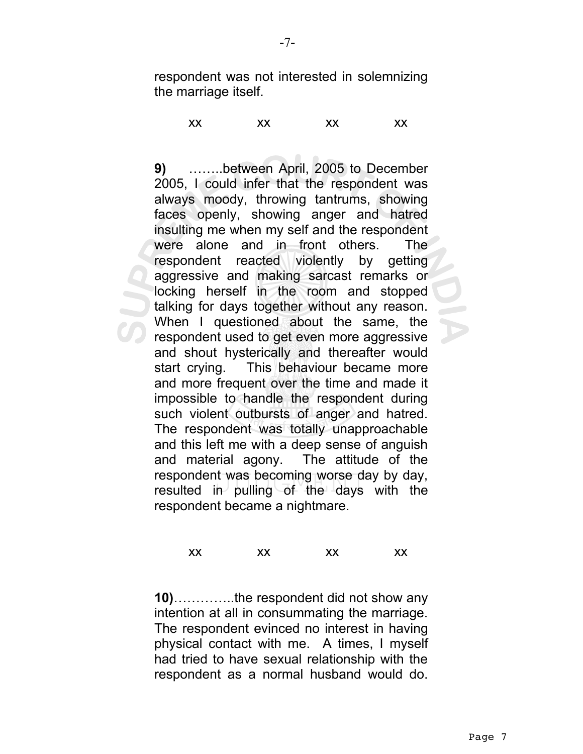respondent was not interested in solemnizing the marriage itself.

xx xx xx xx

**9)** ……..between April, 2005 to December 2005, I could infer that the respondent was always moody, throwing tantrums, showing faces openly, showing anger and hatred insulting me when my self and the respondent were alone and in front others. The respondent reacted violently by getting aggressive and making sarcast remarks or locking herself in the room and stopped talking for days together without any reason. When I questioned about the same, the respondent used to get even more aggressive and shout hysterically and thereafter would start crying. This behaviour became more and more frequent over the time and made it impossible to handle the respondent during such violent outbursts of anger and hatred. The respondent was totally unapproachable and this left me with a deep sense of anguish and material agony. The attitude of the respondent was becoming worse day by day, resulted in pulling of the days with the respondent became a nightmare.

#### xx xx xx xx

**10)**…………..the respondent did not show any intention at all in consummating the marriage. The respondent evinced no interest in having physical contact with me. A times, I myself had tried to have sexual relationship with the respondent as a normal husband would do.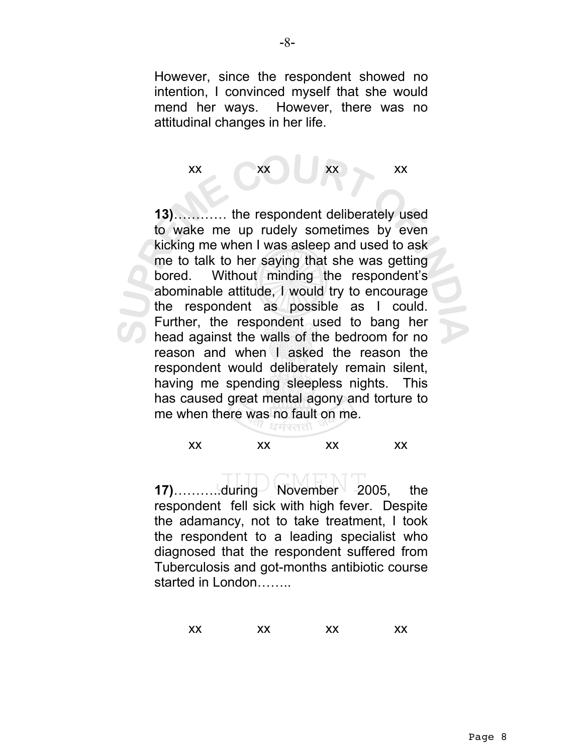However, since the respondent showed no intention, I convinced myself that she would mend her ways. However, there was no attitudinal changes in her life.

# $\mathsf{x} \mathsf{x}$  xx  $\mathsf{x} \mathsf{x}$  xx  $\mathsf{x}$

**13)**………… the respondent deliberately used to wake me up rudely sometimes by even kicking me when I was asleep and used to ask me to talk to her saying that she was getting bored. Without minding the respondent's abominable attitude, I would try to encourage the respondent as possible as I could. Further, the respondent used to bang her head against the walls of the bedroom for no reason and when I asked the reason the respondent would deliberately remain silent, having me spending sleepless nights. This has caused great mental agony and torture to me when there was no fault on me.

#### xx xx xx xx

**17)**…………..during November 2005, the respondent fell sick with high fever. Despite the adamancy, not to take treatment, I took the respondent to a leading specialist who diagnosed that the respondent suffered from Tuberculosis and got-months antibiotic course started in London…….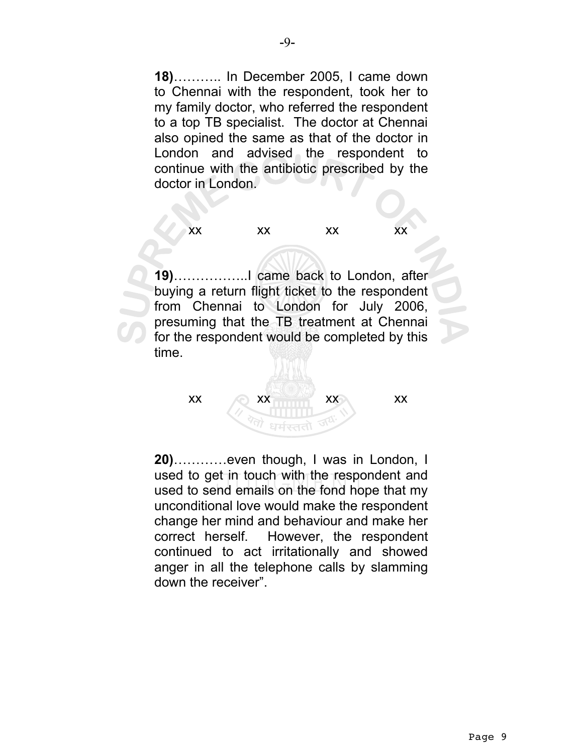**18)**……….. In December 2005, I came down to Chennai with the respondent, took her to my family doctor, who referred the respondent to a top TB specialist. The doctor at Chennai also opined the same as that of the doctor in London and advised the respondent to continue with the antibiotic prescribed by the doctor in London.

xx xx xx xx

**19)**……………..I came back to London, after buying a return flight ticket to the respondent from Chennai to London for July 2006, presuming that the TB treatment at Chennai for the respondent would be completed by this time.

 $\mathsf{x} \mathsf{x}$  xx  $\mathsf{x} \mathsf{x}$  xx  $\mathsf{x}$ 

**20)**…………even though, I was in London, I used to get in touch with the respondent and used to send emails on the fond hope that my unconditional love would make the respondent change her mind and behaviour and make her correct herself. However, the respondent continued to act irritationally and showed anger in all the telephone calls by slamming down the receiver".

धर्मस्तत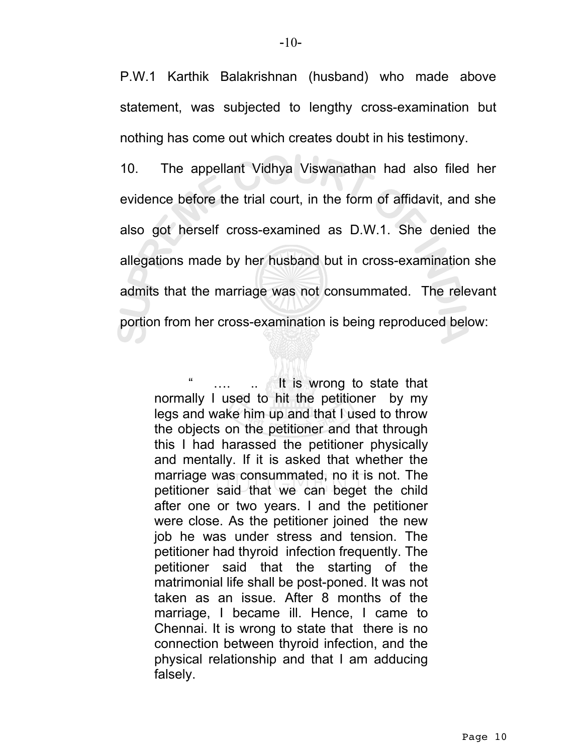P.W.1 Karthik Balakrishnan (husband) who made above statement, was subjected to lengthy cross-examination but nothing has come out which creates doubt in his testimony.

10. The appellant Vidhya Viswanathan had also filed her evidence before the trial court, in the form of affidavit, and she also got herself cross-examined as D.W.1. She denied the allegations made by her husband but in cross-examination she admits that the marriage was not consummated. The relevant portion from her cross-examination is being reproduced below:

.... ... It is wrong to state that normally I used to hit the petitioner by my legs and wake him up and that I used to throw the objects on the petitioner and that through this I had harassed the petitioner physically and mentally. If it is asked that whether the marriage was consummated, no it is not. The petitioner said that we can beget the child after one or two years. I and the petitioner were close. As the petitioner joined the new job he was under stress and tension. The petitioner had thyroid infection frequently. The petitioner said that the starting of the matrimonial life shall be post-poned. It was not taken as an issue. After 8 months of the marriage, I became ill. Hence, I came to Chennai. It is wrong to state that there is no connection between thyroid infection, and the physical relationship and that I am adducing falsely.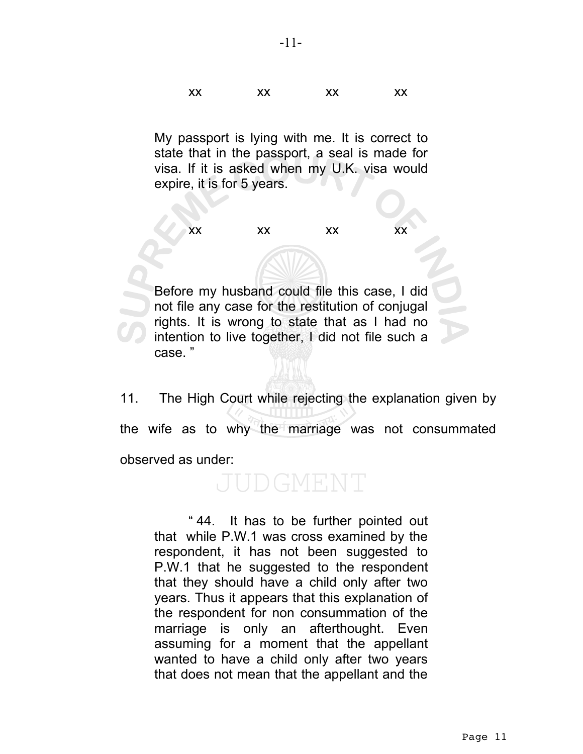xx xx xx xx

My passport is lying with me. It is correct to state that in the passport, a seal is made for visa. If it is asked when my U.K. visa would expire, it is for 5 years.

xx xx xx xx

Before my husband could file this case, I did not file any case for the restitution of conjugal rights. It is wrong to state that as I had no intention to live together, I did not file such a case. "

11. The High Court while rejecting the explanation given by the wife as to why the marriage was not consummated observed as under:

## DGMENT

" 44. It has to be further pointed out that while P.W.1 was cross examined by the respondent, it has not been suggested to P.W.1 that he suggested to the respondent that they should have a child only after two years. Thus it appears that this explanation of the respondent for non consummation of the marriage is only an afterthought. Even assuming for a moment that the appellant wanted to have a child only after two years that does not mean that the appellant and the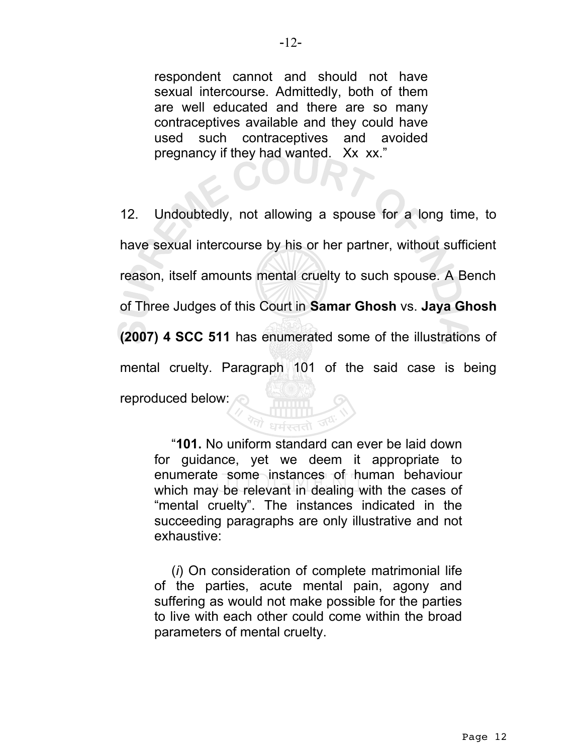respondent cannot and should not have sexual intercourse. Admittedly, both of them are well educated and there are so many contraceptives available and they could have used such contraceptives and avoided pregnancy if they had wanted. Xx xx."

12. Undoubtedly, not allowing a spouse for a long time, to have sexual intercourse by his or her partner, without sufficient reason, itself amounts mental cruelty to such spouse. A Bench of Three Judges of this Court in **Samar Ghosh** vs. **Jaya Ghosh (2007) 4 SCC 511** has enumerated some of the illustrations of mental cruelty. Paragraph 101 of the said case is being reproduced below:

"**101.** No uniform standard can ever be laid down for guidance, yet we deem it appropriate to enumerate some instances of human behaviour which may be relevant in dealing with the cases of "mental cruelty". The instances indicated in the succeeding paragraphs are only illustrative and not exhaustive:

(*i*) On consideration of complete matrimonial life of the parties, acute mental pain, agony and suffering as would not make possible for the parties to live with each other could come within the broad parameters of mental cruelty.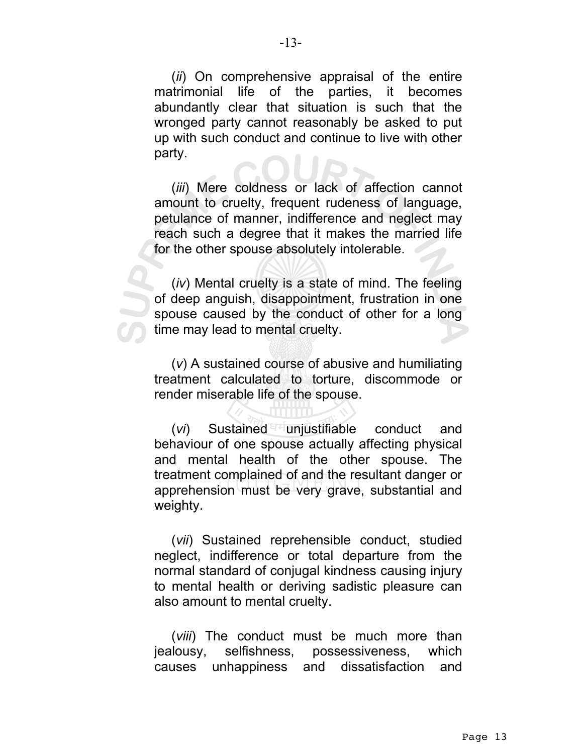(*ii*) On comprehensive appraisal of the entire matrimonial life of the parties, it becomes abundantly clear that situation is such that the wronged party cannot reasonably be asked to put up with such conduct and continue to live with other party.

(*iii*) Mere coldness or lack of affection cannot amount to cruelty, frequent rudeness of language, petulance of manner, indifference and neglect may reach such a degree that it makes the married life for the other spouse absolutely intolerable.

(*iv*) Mental cruelty is a state of mind. The feeling of deep anguish, disappointment, frustration in one spouse caused by the conduct of other for a long time may lead to mental cruelty.

(*v*) A sustained course of abusive and humiliating treatment calculated to torture, discommode or render miserable life of the spouse.

(*vi*) Sustained unjustifiable conduct and behaviour of one spouse actually affecting physical and mental health of the other spouse. The treatment complained of and the resultant danger or apprehension must be very grave, substantial and weighty.

(*vii*) Sustained reprehensible conduct, studied neglect, indifference or total departure from the normal standard of conjugal kindness causing injury to mental health or deriving sadistic pleasure can also amount to mental cruelty.

(*viii*) The conduct must be much more than jealousy, selfishness, possessiveness, which causes unhappiness and dissatisfaction and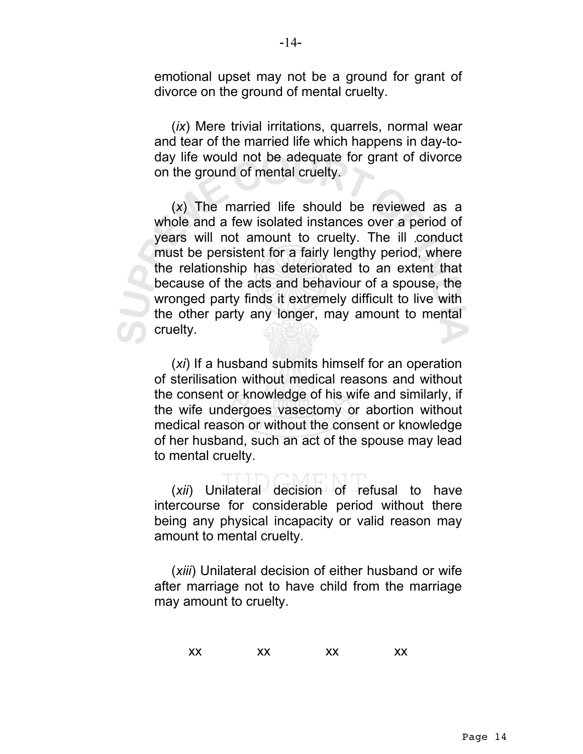emotional upset may not be a ground for grant of divorce on the ground of mental cruelty.

(*ix*) Mere trivial irritations, quarrels, normal wear and tear of the married life which happens in day-today life would not be adequate for grant of divorce on the ground of mental cruelty.

(*x*) The married life should be reviewed as a whole and a few isolated instances over a period of years will not amount to cruelty. The ill conduct must be persistent for a fairly lengthy period, where the relationship has deteriorated to an extent that because of the acts and behaviour of a spouse, the wronged party finds it extremely difficult to live with the other party any longer, may amount to mental cruelty.

(*xi*) If a husband submits himself for an operation of sterilisation without medical reasons and without the consent or knowledge of his wife and similarly, if the wife undergoes vasectomy or abortion without medical reason or without the consent or knowledge of her husband, such an act of the spouse may lead to mental cruelty.

(*xii*) Unilateral decision of refusal to have intercourse for considerable period without there being any physical incapacity or valid reason may amount to mental cruelty.

(*xiii*) Unilateral decision of either husband or wife after marriage not to have child from the marriage may amount to cruelty.

|    |    |    | XX |
|----|----|----|----|
| XX | XX | XX |    |
|    |    |    |    |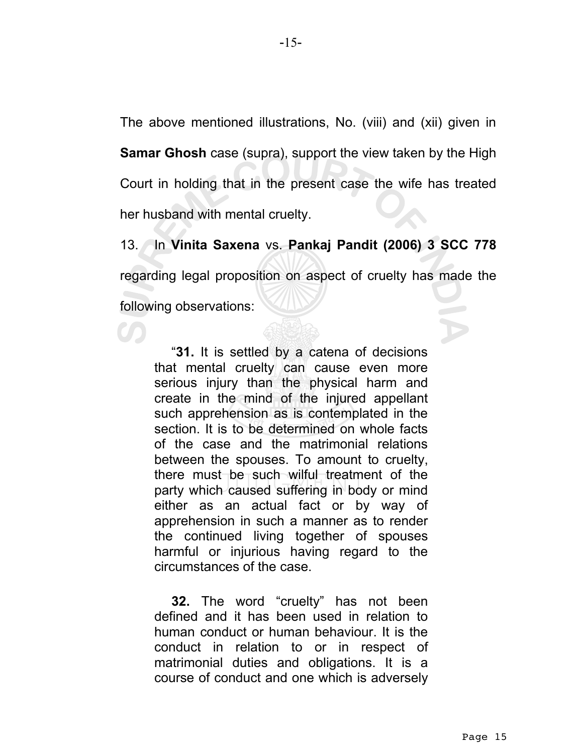The above mentioned illustrations, No. (viii) and (xii) given in **Samar Ghosh** case (supra), support the view taken by the High Court in holding that in the present case the wife has treated her husband with mental cruelty.

13. In **Vinita Saxena** vs. **Pankaj Pandit (2006) 3 SCC 778** regarding legal proposition on aspect of cruelty has made the following observations:

"**31.** It is settled by a catena of decisions that mental cruelty can cause even more serious injury than the physical harm and create in the mind of the injured appellant such apprehension as is contemplated in the section. It is to be determined on whole facts of the case and the matrimonial relations between the spouses. To amount to cruelty, there must be such wilful treatment of the party which caused suffering in body or mind either as an actual fact or by way of apprehension in such a manner as to render the continued living together of spouses harmful or injurious having regard to the circumstances of the case.

**32.** The word "cruelty" has not been defined and it has been used in relation to human conduct or human behaviour. It is the conduct in relation to or in respect of matrimonial duties and obligations. It is a course of conduct and one which is adversely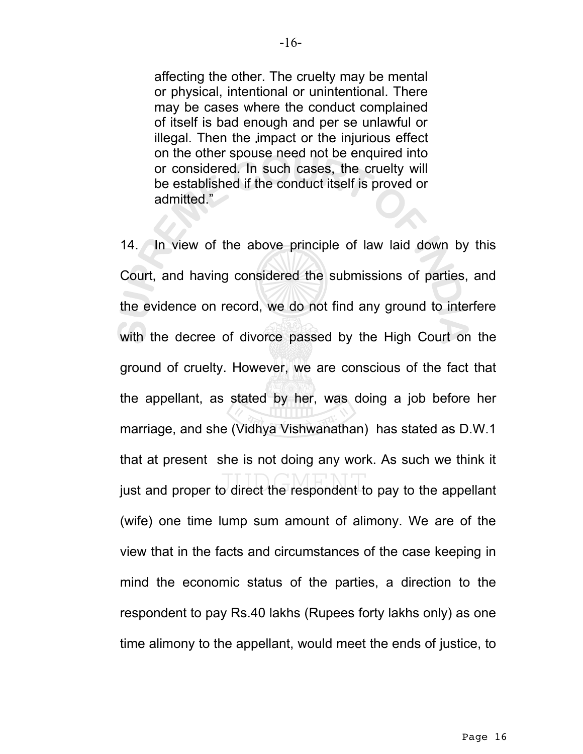affecting the other. The cruelty may be mental or physical, intentional or unintentional. There may be cases where the conduct complained of itself is bad enough and per se unlawful or illegal. Then the impact or the injurious effect on the other spouse need not be enquired into or considered. In such cases, the cruelty will be established if the conduct itself is proved or admitted."

14. In view of the above principle of law laid down by this Court, and having considered the submissions of parties, and the evidence on record, we do not find any ground to interfere with the decree of divorce passed by the High Court on the ground of cruelty. However, we are conscious of the fact that the appellant, as stated by her, was doing a job before her marriage, and she (Vidhya Vishwanathan) has stated as D.W.1 that at present she is not doing any work. As such we think it just and proper to direct the respondent to pay to the appellant (wife) one time lump sum amount of alimony. We are of the view that in the facts and circumstances of the case keeping in mind the economic status of the parties, a direction to the respondent to pay Rs.40 lakhs (Rupees forty lakhs only) as one time alimony to the appellant, would meet the ends of justice, to